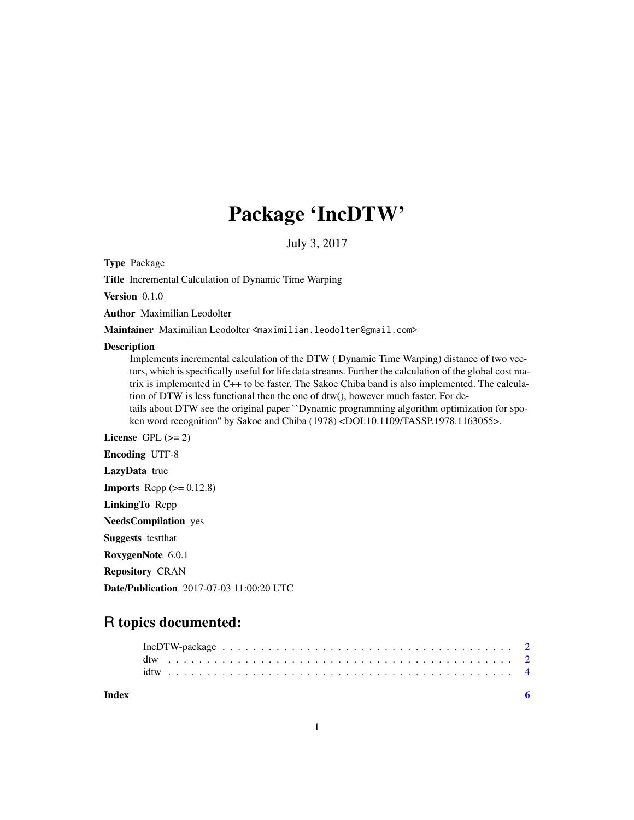## Package 'IncDTW'

July 3, 2017

Type Package

Title Incremental Calculation of Dynamic Time Warping

Version 0.1.0

Author Maximilian Leodolter

Maintainer Maximilian Leodolter <maximilian.leodolter@gmail.com>

#### Description

Implements incremental calculation of the DTW ( Dynamic Time Warping) distance of two vectors, which is specifically useful for life data streams. Further the calculation of the global cost matrix is implemented in C++ to be faster. The Sakoe Chiba band is also implemented. The calculation of DTW is less functional then the one of dtw(), however much faster. For details about DTW see the original paper ``Dynamic programming algorithm optimization for spoken word recognition'' by Sakoe and Chiba (1978) <DOI:10.1109/TASSP.1978.1163055>.

License GPL  $(>= 2)$ Encoding UTF-8

LazyData true

**Imports** Rcpp  $(>= 0.12.8)$ 

LinkingTo Rcpp

NeedsCompilation yes

Suggests testthat

RoxygenNote 6.0.1

Repository CRAN

Date/Publication 2017-07-03 11:00:20 UTC

### R topics documented:

| <b>Index</b> |  |  |  |  |  |  |  |  |  |  |  |  |  |  |  |  |  |  |  |  |  |  |  |
|--------------|--|--|--|--|--|--|--|--|--|--|--|--|--|--|--|--|--|--|--|--|--|--|--|

1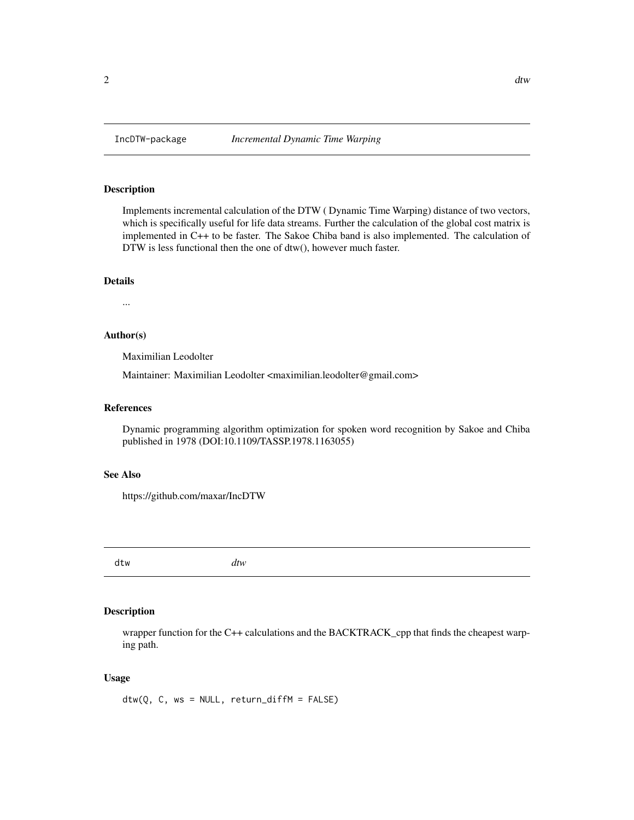#### <span id="page-1-0"></span>Description

Implements incremental calculation of the DTW ( Dynamic Time Warping) distance of two vectors, which is specifically useful for life data streams. Further the calculation of the global cost matrix is implemented in C++ to be faster. The Sakoe Chiba band is also implemented. The calculation of DTW is less functional then the one of dtw(), however much faster.

#### Details

...

#### Author(s)

Maximilian Leodolter

Maintainer: Maximilian Leodolter <maximilian.leodolter@gmail.com>

#### References

Dynamic programming algorithm optimization for spoken word recognition by Sakoe and Chiba published in 1978 (DOI:10.1109/TASSP.1978.1163055)

#### See Also

https://github.com/maxar/IncDTW

dtw *dtw*

#### Description

wrapper function for the C++ calculations and the BACKTRACK\_cpp that finds the cheapest warping path.

#### Usage

 $dtw(Q, C, ws = NULL, return_diffM = FALSE)$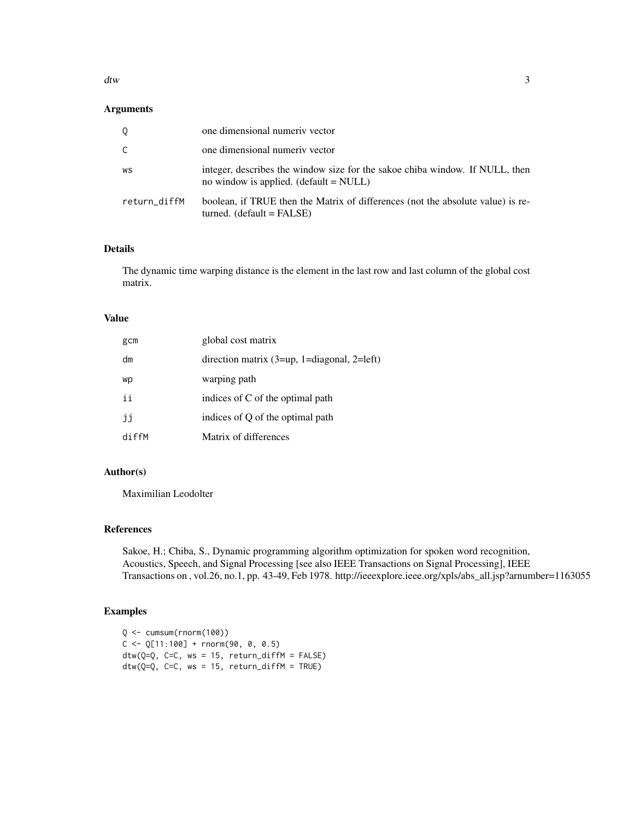dtw 3

#### Arguments

| 0            | one dimensional numeriv vector                                                                                           |
|--------------|--------------------------------------------------------------------------------------------------------------------------|
| C.           | one dimensional numeriv vector                                                                                           |
| WS           | integer, describes the window size for the sakoe chiba window. If NULL, then<br>no window is applied. $(detault = NULL)$ |
| return_diffM | boolean, if TRUE then the Matrix of differences (not the absolute value) is re-<br>$turned.$ (default = FALSE)           |

#### Details

The dynamic time warping distance is the element in the last row and last column of the global cost matrix.

#### Value

| gcm   | global cost matrix                                  |
|-------|-----------------------------------------------------|
| dm    | direction matrix $(3 = up, 1 = diagonal, 2 = left)$ |
| wp    | warping path                                        |
| ii    | indices of C of the optimal path                    |
| jj    | indices of Q of the optimal path                    |
| diffM | Matrix of differences                               |

#### Author(s)

Maximilian Leodolter

#### References

Sakoe, H.; Chiba, S., Dynamic programming algorithm optimization for spoken word recognition, Acoustics, Speech, and Signal Processing [see also IEEE Transactions on Signal Processing], IEEE Transactions on , vol.26, no.1, pp. 43-49, Feb 1978. http://ieeexplore.ieee.org/xpls/abs\_all.jsp?arnumber=1163055

#### Examples

```
Q <- cumsum(rnorm(100))
C \leq Q[11:100] + \text{norm}(90, 0, 0.5)dtw(Q=Q, C=C, ws = 15, return_diffM = FALSE)dtw(Q=Q, C=C, ws = 15, return_diffM = TRUE)
```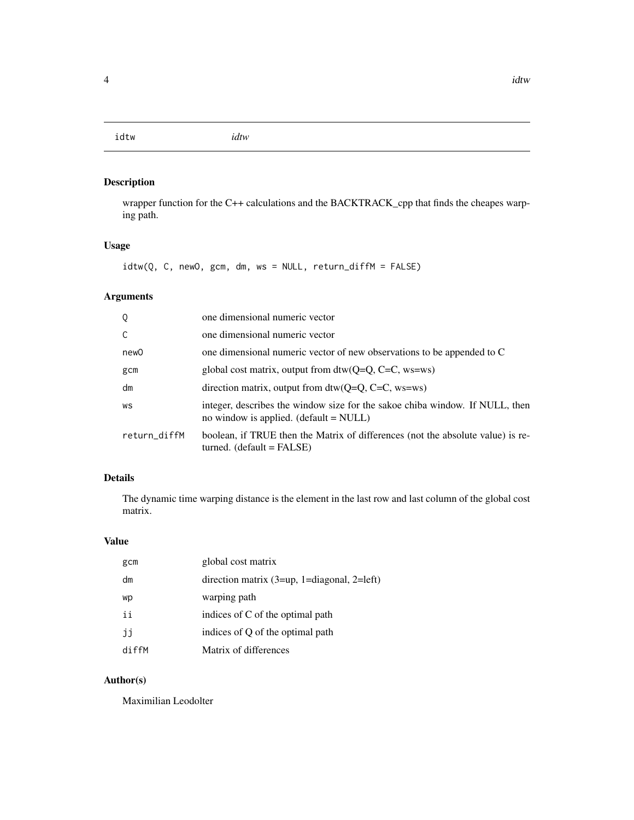<span id="page-3-0"></span>idtw *idtw*

#### Description

wrapper function for the C++ calculations and the BACKTRACK\_cpp that finds the cheapes warping path.

#### Usage

idtw(Q, C, newO, gcm, dm, ws = NULL, return\_diffM = FALSE)

#### Arguments

| Q            | one dimensional numeric vector                                                                                           |
|--------------|--------------------------------------------------------------------------------------------------------------------------|
| C            | one dimensional numeric vector                                                                                           |
| new0         | one dimensional numeric vector of new observations to be appended to C                                                   |
| gcm          | global cost matrix, output from $dtw(Q=Q, C=C, ws=ws)$                                                                   |
| dm           | direction matrix, output from $dtw(O=O, C=C, ws=ws)$                                                                     |
| WS           | integer, describes the window size for the sakoe chiba window. If NULL, then<br>no window is applied. $(detault = NULL)$ |
| return_diffM | boolean, if TRUE then the Matrix of differences (not the absolute value) is re-<br>$turned.$ (default = FALSE)           |

#### Details

The dynamic time warping distance is the element in the last row and last column of the global cost matrix.

#### Value

| gcm   | global cost matrix                                  |
|-------|-----------------------------------------------------|
| dm    | direction matrix $(3 = up, 1 = diagonal, 2 = left)$ |
| wp    | warping path                                        |
| ii    | indices of C of the optimal path                    |
| jj    | indices of Q of the optimal path                    |
| diffM | Matrix of differences                               |

#### Author(s)

Maximilian Leodolter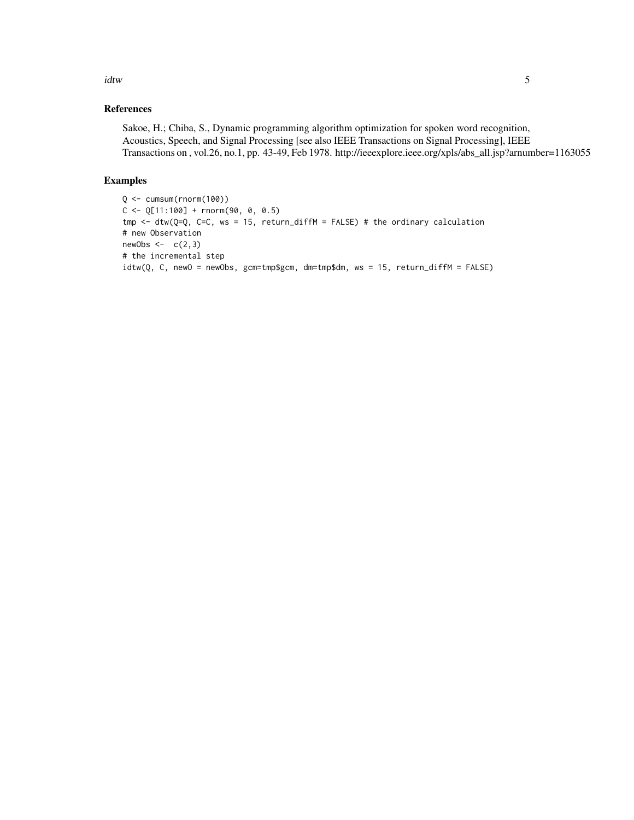idtw 5

#### References

Sakoe, H.; Chiba, S., Dynamic programming algorithm optimization for spoken word recognition, Acoustics, Speech, and Signal Processing [see also IEEE Transactions on Signal Processing], IEEE Transactions on , vol.26, no.1, pp. 43-49, Feb 1978. http://ieeexplore.ieee.org/xpls/abs\_all.jsp?arnumber=1163055

#### Examples

```
Q <- cumsum(rnorm(100))
C \leq Q[11:100] + \text{rnorm}(90, 0, 0.5)tmp <- dtw(Q=Q, C=C, ws = 15, return_diffM = FALSE) # the ordinary calculation
# new Observation
newObs \leftarrow c(2,3)# the incremental step
idtw(Q, C, newO = newObs, gcm=tmp$gcm, dm=tmp$dm, ws = 15, return_diffM = FALSE)
```